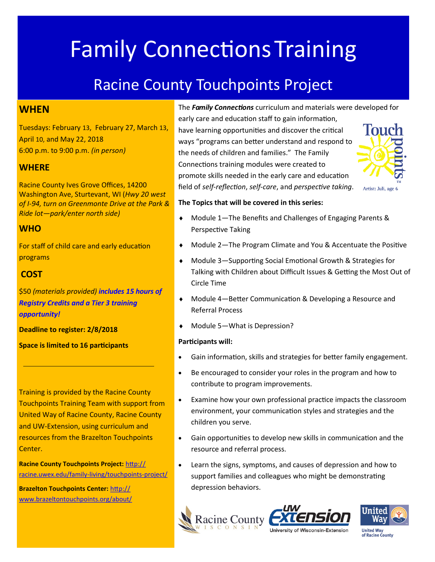# **Family Connections Training**

# Racine County Touchpoints Project

#### **WHEN**

Tuesdays: February 13, February 27, March 13, April 10, and May 22, 2018 6:00 p.m. to 9:00 p.m. *(in person)*

#### **WHERE**

Racine County Ives Grove Offices, 14200 Washington Ave, Sturtevant, WI (*Hwy 20 west of I-94, turn on Greenmonte Drive at the Park & Ride lot—park/enter north side)* 

#### **WHO**

For staff of child care and early education programs

#### **COST**

\$50 *(materials provided) includes 15 hours of Registry Credits and a Tier 3 training opportunity!*

**Deadline to register: 2/8/2018** 

**Space is limited to 16 participants**

Training is provided by the Racine County Touchpoints Training Team with support from United Way of Racine County, Racine County and UW-Extension, using curriculum and resources from the Brazelton Touchpoints Center.

**Racine County Touchpoints Project:** [http://](http://racine.uwex.edu/family-living/touchpoints-project/) [racine.uwex.edu/family](http://racine.uwex.edu/family-living/touchpoints-project/)-living/touchpoints-project/

**Brazelton Touchpoints Center:** [http://](http://www.brazeltontouchpoints.org/about/) [www.brazeltontouchpoints.org/about/](http://www.brazeltontouchpoints.org/about/) The *Family Connections* curriculum and materials were developed for

early care and education staff to gain information, have learning opportunities and discover the critical ways "programs can better understand and respond to the needs of children and families." The Family Connections training modules were created to promote skills needed in the early care and education field of *self-reflection*, *self-care*, and *perspective taking*.



#### **The Topics that will be covered in this series:**

- Module 1—The Benefits and Challenges of Engaging Parents & Perspective Taking
- Module 2—The Program Climate and You & Accentuate the Positive
- Module 3—Supporting Social Emotional Growth & Strategies for Talking with Children about Difficult Issues & Getting the Most Out of Circle Time
- Module 4—Better Communication & Developing a Resource and Referral Process
- Module 5—What is Depression?

#### **Participants will:**

- Gain information, skills and strategies for better family engagement.
- Be encouraged to consider your roles in the program and how to contribute to program improvements.
- Examine how your own professional practice impacts the classroom environment, your communication styles and strategies and the children you serve.
- Gain opportunities to develop new skills in communication and the resource and referral process.
- Learn the signs, symptoms, and causes of depression and how to support families and colleagues who might be demonstrating depression behaviors.